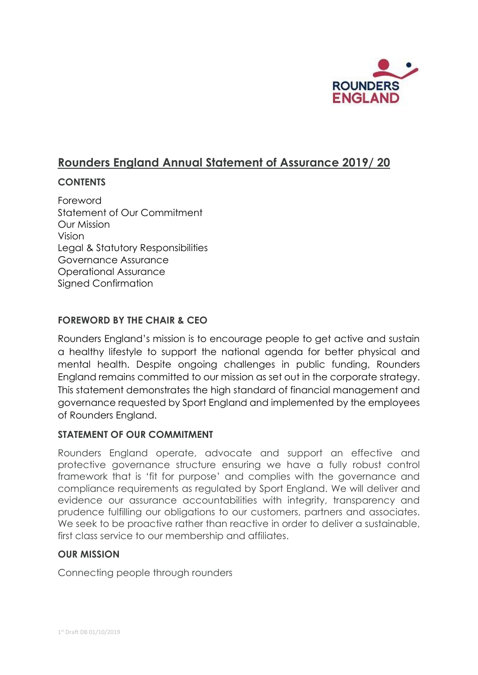

# **Rounders England Annual Statement of Assurance 2019/ 20**

## **CONTENTS**

Foreword Statement of Our Commitment Our Mission Vision Legal & Statutory Responsibilities Governance Assurance Operational Assurance Signed Confirmation

## **FOREWORD BY THE CHAIR & CEO**

Rounders England's mission is to encourage people to get active and sustain a healthy lifestyle to support the national agenda for better physical and mental health. Despite ongoing challenges in public funding, Rounders England remains committed to our mission as set out in the corporate strategy. This statement demonstrates the high standard of financial management and governance requested by Sport England and implemented by the employees of Rounders England.

## **STATEMENT OF OUR COMMITMENT**

Rounders England operate, advocate and support an effective and protective governance structure ensuring we have a fully robust control framework that is 'fit for purpose' and complies with the governance and compliance requirements as regulated by Sport England. We will deliver and evidence our assurance accountabilities with integrity, transparency and prudence fulfilling our obligations to our customers, partners and associates. We seek to be proactive rather than reactive in order to deliver a sustainable, first class service to our membership and affiliates.

## **OUR MISSION**

Connecting people through rounders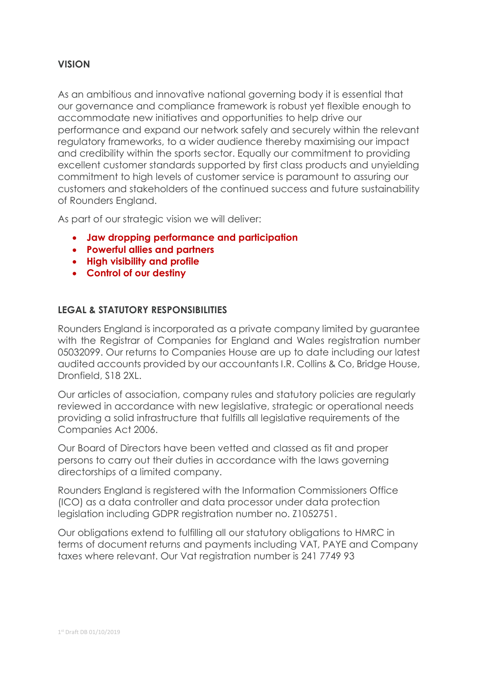#### **VISION**

As an ambitious and innovative national governing body it is essential that our governance and compliance framework is robust yet flexible enough to accommodate new initiatives and opportunities to help drive our performance and expand our network safely and securely within the relevant regulatory frameworks, to a wider audience thereby maximising our impact and credibility within the sports sector. Equally our commitment to providing excellent customer standards supported by first class products and unyielding commitment to high levels of customer service is paramount to assuring our customers and stakeholders of the continued success and future sustainability of Rounders England.

As part of our strategic vision we will deliver:

- **Jaw dropping performance and participation**
- **Powerful allies and partners**
- **High visibility and profile**
- **Control of our destiny**

#### **LEGAL & STATUTORY RESPONSIBILITIES**

Rounders England is incorporated as a private company limited by guarantee with the Registrar of Companies for England and Wales registration number 05032099. Our returns to Companies House are up to date including our latest audited accounts provided by our accountants I.R. Collins & Co, Bridge House, Dronfield, S18 2XL.

Our articles of association, company rules and statutory policies are regularly reviewed in accordance with new legislative, strategic or operational needs providing a solid infrastructure that fulfills all legislative requirements of the Companies Act 2006.

Our Board of Directors have been vetted and classed as fit and proper persons to carry out their duties in accordance with the laws governing directorships of a limited company.

Rounders England is registered with the Information Commissioners Office (ICO) as a data controller and data processor under data protection legislation including GDPR registration number no. Z1052751.

Our obligations extend to fulfilling all our statutory obligations to HMRC in terms of document returns and payments including VAT, PAYE and Company taxes where relevant. Our Vat registration number is 241 7749 93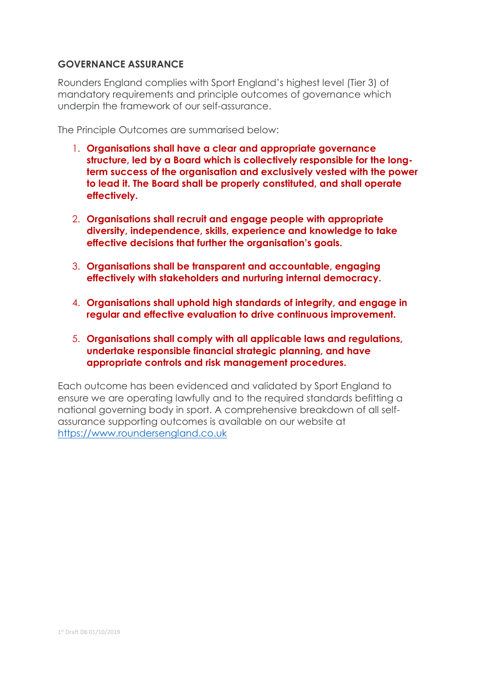## **GOVERNANCE ASSURANCE**

Rounders England complies with Sport England's highest level (Tier 3) of mandatory requirements and principle outcomes of governance which underpin the framework of our self-assurance.

The Principle Outcomes are summarised below:

- 1. **Organisations shall have a clear and appropriate governance structure, led by a Board which is collectively responsible for the longterm success of the organisation and exclusively vested with the power to lead it. The Board shall be properly constituted, and shall operate effectively.**
- 2. **Organisations shall recruit and engage people with appropriate diversity, independence, skills, experience and knowledge to take effective decisions that further the organisation's goals.**
- 3. **Organisations shall be transparent and accountable, engaging effectively with stakeholders and nurturing internal democracy.**
- 4. **Organisations shall uphold high standards of integrity, and engage in regular and effective evaluation to drive continuous improvement.**
- 5. **Organisations shall comply with all applicable laws and regulations, undertake responsible financial strategic planning, and have appropriate controls and risk management procedures.**

Each outcome has been evidenced and validated by Sport England to ensure we are operating lawfully and to the required standards befitting a national governing body in sport. A comprehensive breakdown of all selfassurance supporting outcomes is available on our website at [https://www.roundersengland.co.uk](https://www.roundersengland.co.uk/)